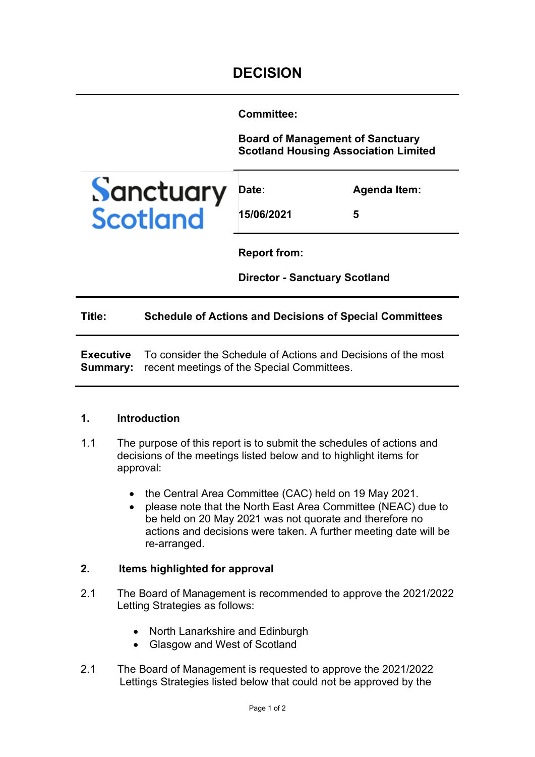**Committee:** 

**Board of Management of Sanctuary Scotland Housing Association Limited**



| Date:      | Aç |
|------------|----|
| 15/06/2021 | 5  |

**Agenda Item:** 

**Report from:** 

**Director - Sanctuary Scotland**

### **Title: Schedule of Actions and Decisions of Special Committees**

**Executive Summary:**  recent meetings of the Special Committees. To consider the Schedule of Actions and Decisions of the most

#### **1. Introduction**

- 1.1 The purpose of this report is to submit the schedules of actions and decisions of the meetings listed below and to highlight items for approval:
	- the Central Area Committee (CAC) held on 19 May 2021.
	- please note that the North East Area Committee (NEAC) due to be held on 20 May 2021 was not quorate and therefore no actions and decisions were taken. A further meeting date will be re-arranged.

## **2. Items highlighted for approval**

- 2.1 The Board of Management is recommended to approve the 2021/2022 Letting Strategies as follows:
	- North Lanarkshire and Edinburgh
	- Glasgow and West of Scotland
- 2.1 The Board of Management is requested to approve the 2021/2022 Lettings Strategies listed below that could not be approved by the